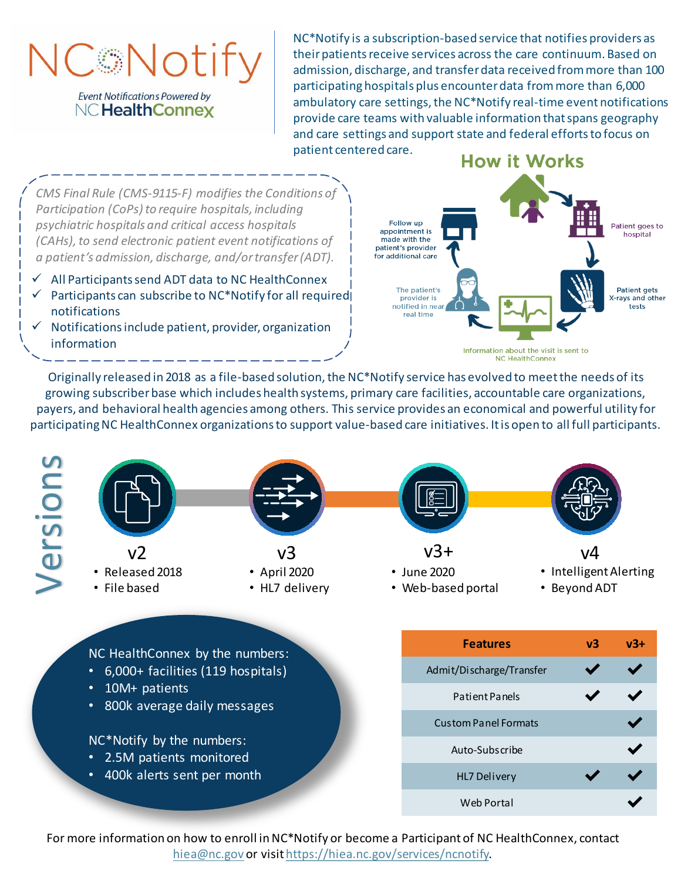# NCONotif

**Event Notifications Powered by NCHealthConnex**  NC\*Notify is a subscription-based service that notifies providers as their patients receive services across the care continuum. Based on admission, discharge, and transfer data received from more than 100 participating hospitals plus encounter data from more than 6,000 ambulatory care settings, the NC\*Notify real-time event notifications provide care teams with valuable information that spans geography and care settings and support state and federal efforts to focus on patient centered care.

*CMS Final Rule (CMS-9115-F) modifies the Conditions of Participation (CoPs) to require hospitals, including psychiatric hospitals and critical access hospitals (CAHs), to send electronic patient event notifications of a patient's admission, discharge, and/or transfer (ADT).*

- $\checkmark$  All Participants send ADT data to NC HealthConnex
- $\checkmark$  Participants can subscribe to NC\*Notify for all required notifications
- Notifications include patient, provider, organization information



Originally released in 2018 as a file-based solution, the NC\*Notify service has evolved to meet the needs of its growing subscriber base which includes health systems, primary care facilities, accountable care organizations, payers, and behavioral health agencies among others. This service provides an economical and powerful utility for participating NC HealthConnex organizations to support value-based care initiatives. It is open to all full participants.



For more information on how to enroll in NC\*Notify or become a Participant of NC HealthConnex, contact [hiea@nc.gov](mailto:hiea@nc.gov) or visit [https://hiea.nc.gov/services/ncnotify.](https://hiea.nc.gov/services/ncnotify)